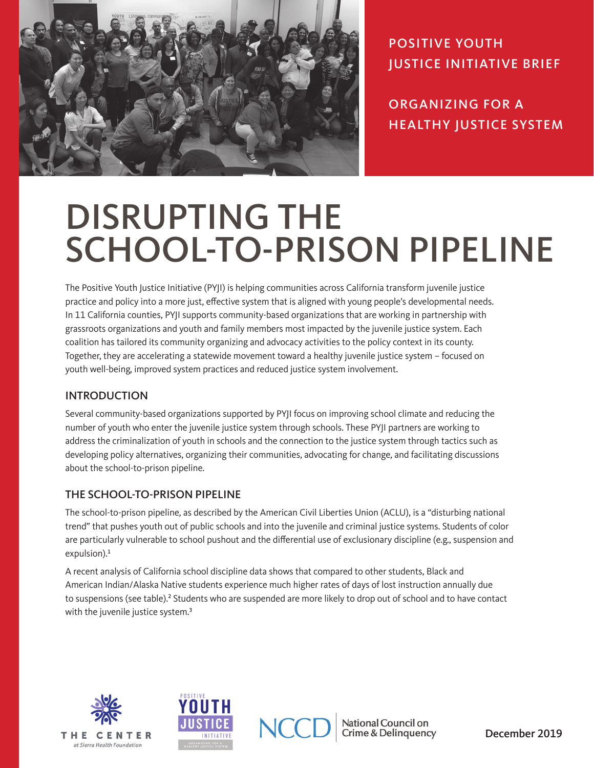

POSITIVE YOUTH JUSTICE INITIATIVE BRIEF

ORGANIZING FOR A HEALTHY JUSTICE SYSTEM

# DISRUPTING THE SCHOOL-TO-PRISON PIPELINE

The Positive Youth Justice Initiative (PYJI) is helping communities across California transform juvenile justice practice and policy into a more just, effective system that is aligned with young people's developmental needs. In 11 California counties, PYJI supports community-based organizations that are working in partnership with grassroots organizations and youth and family members most impacted by the juvenile justice system. Each coalition has tailored its community organizing and advocacy activities to the policy context in its county. Together, they are accelerating a statewide movement toward a healthy juvenile justice system – focused on youth well-being, improved system practices and reduced justice system involvement.

#### INTRODUCTION

Several community-based organizations supported by PYJI focus on improving school climate and reducing the number of youth who enter the juvenile justice system through schools. These PYJI partners are working to address the criminalization of youth in schools and the connection to the justice system through tactics such as developing policy alternatives, organizing their communities, advocating for change, and facilitating discussions about the school-to-prison pipeline.

#### THE SCHOOL-TO-PRISON PIPELINE

The school-to-prison pipeline, as described by the American Civil Liberties Union (ACLU), is a "disturbing national trend" that pushes youth out of public schools and into the juvenile and criminal justice systems. Students of color are particularly vulnerable to school pushout and the differential use of exclusionary discipline (e.g., suspension and expulsion).<sup>1</sup>

A recent analysis of California school discipline data shows that compared to other students, Black and American Indian/Alaska Native students experience much higher rates of days of lost instruction annually due to suspensions (see table).<sup>2</sup> Students who are suspended are more likely to drop out of school and to have contact with the juvenile justice system.<sup>3</sup>







National Council on **Crime & Delinguency**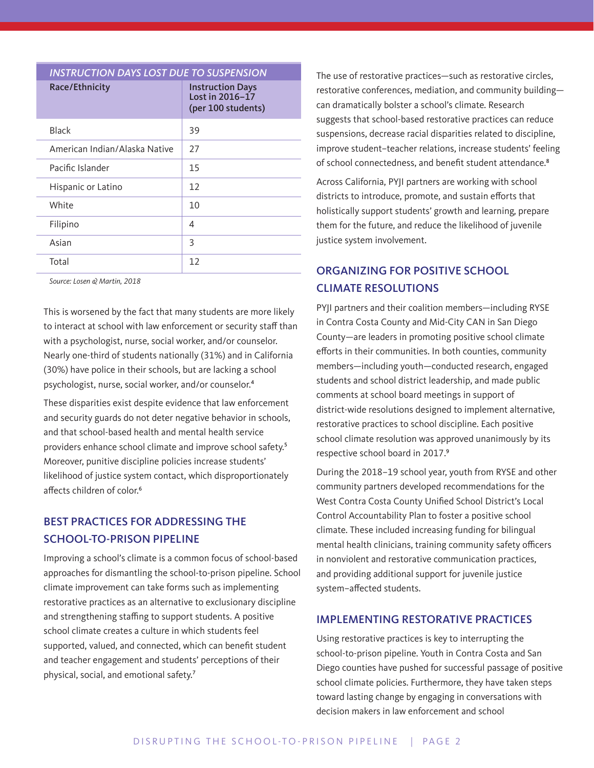| <b>INSTRUCTION DAYS LOST DUE TO SUSPENSION</b> |                                                                  |
|------------------------------------------------|------------------------------------------------------------------|
| Race/Ethnicity                                 | <b>Instruction Days</b><br>Lost in 2016-17<br>(per 100 students) |
| <b>Black</b>                                   | 39                                                               |
| American Indian/Alaska Native                  | 27                                                               |
| Pacific Islander                               | 15                                                               |
| Hispanic or Latino                             | 12                                                               |
| White                                          | 10                                                               |
| Filipino                                       | 4                                                                |
| Asian                                          | 3                                                                |
| Total                                          | 12                                                               |

*Source: Losen & Martin, 2018*

This is worsened by the fact that many students are more likely to interact at school with law enforcement or security staff than with a psychologist, nurse, social worker, and/or counselor. Nearly one-third of students nationally (31%) and in California (30%) have police in their schools, but are lacking a school psychologist, nurse, social worker, and/or counselor.<sup>4</sup>

These disparities exist despite evidence that law enforcement and security guards do not deter negative behavior in schools, and that school-based health and mental health service providers enhance school climate and improve school safety.<sup>5</sup> Moreover, punitive discipline policies increase students' likelihood of justice system contact, which disproportionately affects children of color.<sup>6</sup>

### BEST PRACTICES FOR ADDRESSING THE SCHOOL-TO-PRISON PIPELINE

Improving a school's climate is a common focus of school-based approaches for dismantling the school-to-prison pipeline. School climate improvement can take forms such as implementing restorative practices as an alternative to exclusionary discipline and strengthening staffing to support students. A positive school climate creates a culture in which students feel supported, valued, and connected, which can benefit student and teacher engagement and students' perceptions of their physical, social, and emotional safety.<sup>7</sup>

The use of restorative practices—such as restorative circles, restorative conferences, mediation, and community building can dramatically bolster a school's climate. Research suggests that school-based restorative practices can reduce suspensions, decrease racial disparities related to discipline, improve student–teacher relations, increase students' feeling of school connectedness, and benefit student attendance.<sup>8</sup>

Across California, PYJI partners are working with school districts to introduce, promote, and sustain efforts that holistically support students' growth and learning, prepare them for the future, and reduce the likelihood of juvenile justice system involvement.

## ORGANIZING FOR POSITIVE SCHOOL CLIMATE RESOLUTIONS

PYJI partners and their coalition members—including RYSE in Contra Costa County and Mid-City CAN in San Diego County—are leaders in promoting positive school climate efforts in their communities. In both counties, community members—including youth—conducted research, engaged students and school district leadership, and made public comments at school board meetings in support of district-wide resolutions designed to implement alternative, restorative practices to school discipline. Each positive school climate resolution was approved unanimously by its respective school board in 2017.<sup>9</sup>

During the 2018–19 school year, youth from RYSE and other community partners developed recommendations for the West Contra Costa County Unified School District's Local Control Accountability Plan to foster a positive school climate. These included increasing funding for bilingual mental health clinicians, training community safety officers in nonviolent and restorative communication practices, and providing additional support for juvenile justice system–affected students.

#### IMPLEMENTING RESTORATIVE PRACTICES

Using restorative practices is key to interrupting the school-to-prison pipeline. Youth in Contra Costa and San Diego counties have pushed for successful passage of positive school climate policies. Furthermore, they have taken steps toward lasting change by engaging in conversations with decision makers in law enforcement and school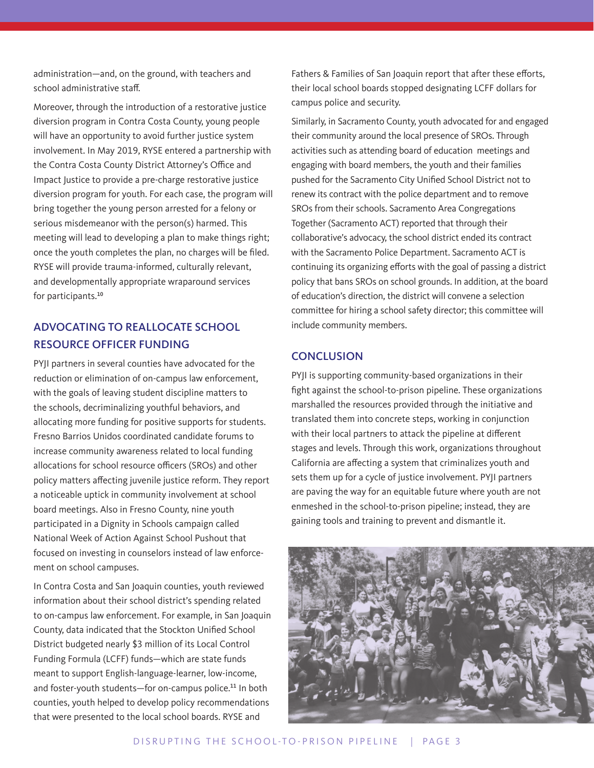administration—and, on the ground, with teachers and school administrative staff.

Moreover, through the introduction of a restorative justice diversion program in Contra Costa County, young people will have an opportunity to avoid further justice system involvement. In May 2019, RYSE entered a partnership with the Contra Costa County District Attorney's Office and Impact Justice to provide a pre-charge restorative justice diversion program for youth. For each case, the program will bring together the young person arrested for a felony or serious misdemeanor with the person(s) harmed. This meeting will lead to developing a plan to make things right; once the youth completes the plan, no charges will be filed. RYSE will provide trauma-informed, culturally relevant, and developmentally appropriate wraparound services for participants.<sup>10</sup>

## ADVOCATING TO REALLOCATE SCHOOL RESOURCE OFFICER FUNDING

PYJI partners in several counties have advocated for the reduction or elimination of on-campus law enforcement, with the goals of leaving student discipline matters to the schools, decriminalizing youthful behaviors, and allocating more funding for positive supports for students. Fresno Barrios Unidos coordinated candidate forums to increase community awareness related to local funding allocations for school resource officers (SROs) and other policy matters affecting juvenile justice reform. They report a noticeable uptick in community involvement at school board meetings. Also in Fresno County, nine youth participated in a Dignity in Schools campaign called National Week of Action Against School Pushout that focused on investing in counselors instead of law enforcement on school campuses.

In Contra Costa and San Joaquin counties, youth reviewed information about their school district's spending related to on-campus law enforcement. For example, in San Joaquin County, data indicated that the Stockton Unified School District budgeted nearly \$3 million of its Local Control Funding Formula (LCFF) funds—which are state funds meant to support English-language-learner, low-income, and foster-youth students-for on-campus police.<sup>11</sup> In both counties, youth helped to develop policy recommendations that were presented to the local school boards. RYSE and

Fathers & Families of San Joaquin report that after these efforts, their local school boards stopped designating LCFF dollars for campus police and security.

Similarly, in Sacramento County, youth advocated for and engaged their community around the local presence of SROs. Through activities such as attending board of education meetings and engaging with board members, the youth and their families pushed for the Sacramento City Unified School District not to renew its contract with the police department and to remove SROs from their schools. Sacramento Area Congregations Together (Sacramento ACT) reported that through their collaborative's advocacy, the school district ended its contract with the Sacramento Police Department. Sacramento ACT is continuing its organizing efforts with the goal of passing a district policy that bans SROs on school grounds. In addition, at the board of education's direction, the district will convene a selection committee for hiring a school safety director; this committee will include community members.

#### **CONCLUSION**

PYJI is supporting community-based organizations in their fight against the school-to-prison pipeline. These organizations marshalled the resources provided through the initiative and translated them into concrete steps, working in conjunction with their local partners to attack the pipeline at different stages and levels. Through this work, organizations throughout California are affecting a system that criminalizes youth and sets them up for a cycle of justice involvement. PYJI partners are paving the way for an equitable future where youth are not enmeshed in the school-to-prison pipeline; instead, they are gaining tools and training to prevent and dismantle it.